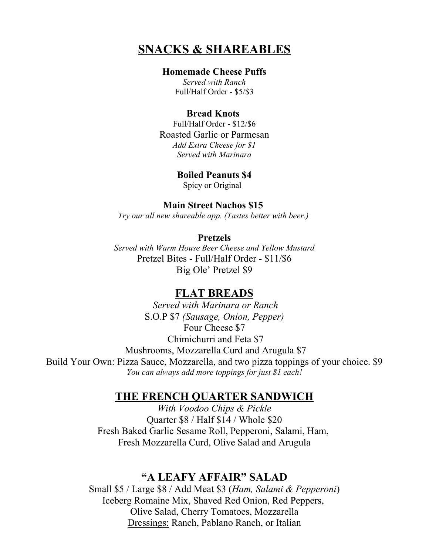# **SNACKS & SHAREABLES**

#### **Homemade Cheese Puffs**

*Served with Ranch* Full/Half Order - \$5/\$3

#### **Bread Knots**

Full/Half Order - \$12/\$6 Roasted Garlic or Parmesan *Add Extra Cheese for \$1 Served with Marinara*

> **Boiled Peanuts \$4** Spicy or Original

### **Main Street Nachos \$15**

*Try our all new shareable app. (Tastes better with beer.)* 

#### **Pretzels**

*Served with Warm House Beer Cheese and Yellow Mustard* Pretzel Bites - Full/Half Order - \$11/\$6 Big Ole' Pretzel \$9

## **FLAT BREADS**

*Served with Marinara or Ranch* S.O.P \$7 *(Sausage, Onion, Pepper)* Four Cheese \$7 Chimichurri and Feta \$7 Mushrooms, Mozzarella Curd and Arugula \$7 Build Your Own: Pizza Sauce, Mozzarella, and two pizza toppings of your choice. \$9 *You can always add more toppings for just \$1 each!*

# **THE FRENCH QUARTER SANDWICH**

*With Voodoo Chips & Pickle* Quarter \$8 / Half \$14 / Whole \$20 Fresh Baked Garlic Sesame Roll, Pepperoni, Salami, Ham, Fresh Mozzarella Curd, Olive Salad and Arugula

# **"A LEAFY AFFAIR" SALAD**

Small \$5 / Large \$8 / Add Meat \$3 (*Ham, Salami & Pepperoni*) Iceberg Romaine Mix, Shaved Red Onion, Red Peppers, Olive Salad, Cherry Tomatoes, Mozzarella Dressings: Ranch, Pablano Ranch, or Italian